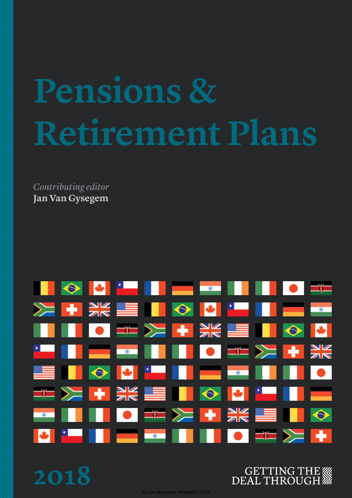# Pensions & **Retirement Plans**

*Contributing editor* **Jan Van Gysegem**



**2018**



© Law Business Research 2018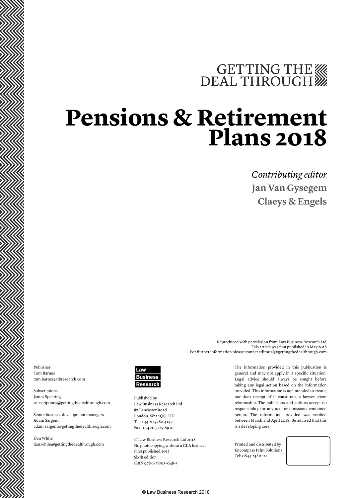## GETTING THE WE DEAL THROUGH

### **Pensions & Retirement Plans 2018**

*Contributing editor* **Jan Van Gysegem Claeys & Engels**

Reproduced with permission from Law Business Research Ltd This article was first published in May 2018 For further information please contact editorial@gettingthedealthrough.com

Publisher Tom Barnes tom.barnes@lbresearch.com

Subscriptions James Spearing subscriptions@gettingthedealthrough.com

Senior business development managers Adam Sargent adam.sargent@gettingthedealthrough.com

Dan White dan.white@gettingthedealthrough.com



Published by Law Business Research Ltd 87 Lancaster Road London, W11 1QQ, UK Tel: +44 20 3780 4147 Fax: +44 20 7229 6910

© Law Business Research Ltd 2018 No photocopying without a CLA licence. First published 2013 Sixth edition ISBN 978-1-78915-048-3

The information provided in this publication is general and may not apply in a specific situation. Legal advice should always be sought before taking any legal action based on the information provided. This information is not intended to create, nor does receipt of it constitute, a lawyer–client relationship. The publishers and authors accept no responsibility for any acts or omissions contained herein. The information provided was verified between March and April 2018. Be advised that this is a developing area.

Printed and distributed by Encompass Print Solutions Tel: 0844 2480 112

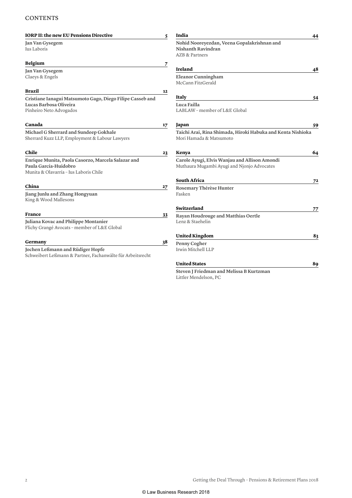#### **CONTENTS**

| <b>IORP II: the new EU Pensions Directive</b>                                                  | 5  | India                                                                                  | 44             |
|------------------------------------------------------------------------------------------------|----|----------------------------------------------------------------------------------------|----------------|
| Jan Van Gysegem<br>Ius Laboris                                                                 |    | Nohid Nooreyezdan, Veena Gopalakrishnan and<br><b>Nishanth Ravindran</b>               |                |
|                                                                                                |    | <b>AZB &amp; Partners</b>                                                              |                |
| Belgium                                                                                        | 7  |                                                                                        |                |
| Jan Van Gysegem                                                                                |    | <b>Ireland</b>                                                                         | 48             |
| Claeys & Engels                                                                                |    | <b>Eleanor Cunningham</b><br>McCann FitzGerald                                         |                |
| Brazil                                                                                         | 12 |                                                                                        |                |
| Cristiane Ianagui Matsumoto Gago, Diego Filipe Casseb and                                      |    | <b>Italy</b>                                                                           | 54             |
| Lucas Barbosa Oliveira                                                                         |    | Luca Failla                                                                            |                |
| Pinheiro Neto Advogados                                                                        |    | LABLAW - member of L&E Global                                                          |                |
| Canada                                                                                         | 17 | Japan                                                                                  | 59             |
| Michael G Sherrard and Sundeep Gokhale<br>Sherrard Kuzz LLP, Employment & Labour Lawyers       |    | Taichi Arai, Rina Shimada, Hiroki Habuka and Kenta Nishioka<br>Mori Hamada & Matsumoto |                |
| Chile                                                                                          | 23 | Kenya                                                                                  | 64             |
| Enrique Munita, Paola Casorzo, Marcela Salazar and                                             |    | Carole Ayugi, Elvis Wanjau and Allison Amondi                                          |                |
| Paula García-Huidobro                                                                          |    | Muthaura Mugambi Ayugi and Njonjo Advocates                                            |                |
| Munita & Olavarría - Ius Laboris Chile                                                         |    |                                                                                        |                |
|                                                                                                |    | <b>South Africa</b>                                                                    | 7 <sup>2</sup> |
| China                                                                                          | 27 | Rosemary Thérèse Hunter                                                                |                |
| Jiang Junlu and Zhang Hongyuan<br>King & Wood Mallesons                                        |    | Fasken                                                                                 |                |
|                                                                                                |    | Switzerland                                                                            | 77             |
| France                                                                                         | 33 | Rayan Houdrouge and Matthias Oertle                                                    |                |
| Juliana Kovac and Philippe Montanier<br>Flichy Grangé Avocats - member of L&E Global           |    | Lenz & Staehelin                                                                       |                |
|                                                                                                |    | <b>United Kingdom</b>                                                                  | 83             |
| Germany                                                                                        | 38 | Penny Cogher                                                                           |                |
| Jochen Leßmann and Rüdiger Hopfe<br>Schweibert Leßmann & Partner, Fachanwälte für Arbeitsrecht |    | Irwin Mitchell LLP                                                                     |                |
|                                                                                                |    | <b>United States</b>                                                                   | 89             |
|                                                                                                |    | Steven I Friedman and Melissa R Kurtzman                                               |                |

**Steven J Friedman and Melissa B Kurtzman** Littler Mendelson, PC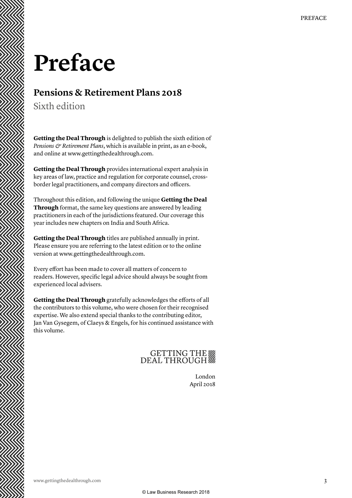## **Preface**

#### **Pensions & Retirement Plans 2018**

Sixth edition

**Getting the Deal Through** is delighted to publish the sixth edition of *Pensions & Retirement Plans*, which is available in print, as an e-book, and online at www.gettingthedealthrough.com.

**Getting the Deal Through** provides international expert analysis in key areas of law, practice and regulation for corporate counsel, crossborder legal practitioners, and company directors and officers.

Throughout this edition, and following the unique **Getting the Deal Through** format, the same key questions are answered by leading practitioners in each of the jurisdictions featured. Our coverage this year includes new chapters on India and South Africa.

**Getting the Deal Through** titles are published annually in print. Please ensure you are referring to the latest edition or to the online version at www.gettingthedealthrough.com.

Every effort has been made to cover all matters of concern to readers. However, specific legal advice should always be sought from experienced local advisers.

**Getting the Deal Through** gratefully acknowledges the efforts of all the contributors to this volume, who were chosen for their recognised expertise. We also extend special thanks to the contributing editor, Jan Van Gysegem, of Claeys & Engels, for his continued assistance with this volume.

### GETTING THE

London April 2018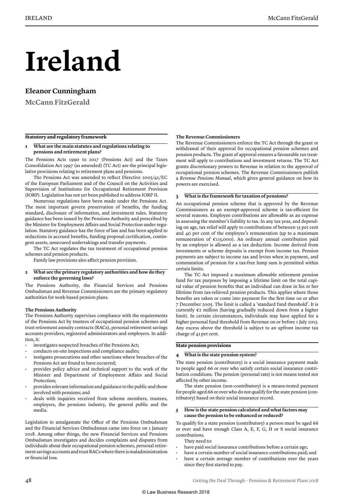## **Ireland**

#### **Eleanor Cunningham**

**McCann FitzGerald**

#### **Statutory and regulatory framework**

#### **1 What are the main statutes and regulations relating to pensions and retirement plans?**

The Pensions Acts 1990 to 2017 (Pensions Act) and the Taxes Consolidation Act 1997 (as amended) (TC Act) are the principal legislative provisions relating to retirement plans and pensions.

The Pensions Act was amended to reflect Directive 2003/41/EC of the European Parliament and of the Council on the Activities and Supervision of Institutions for Occupational Retirement Provision (IORP). Legislation has not yet been published to address IORP II.

Numerous regulations have been made under the Pensions Act. The most important govern preservation of benefits, the funding standard, disclosure of information, and investment rules. Statutory guidance has been issued by the Pensions Authority and prescribed by the Minister for Employment Affairs and Social Protection under regulation. Statutory guidance has the force of law and has been applied to reductions in accrued benefits, funding proposal certification, contingent assets, unsecured undertakings and transfer payments.

The TC Act regulates the tax treatment of occupational pension schemes and pension products.

Family law provisions also affect pension provision.

#### **2 What are the primary regulatory authorities and how do they enforce the governing laws?**

The Pensions Authority, the Financial Services and Pensions Ombudsman and Revenue Commissioners are the primary regulatory authorities for work-based pension plans.

#### **The Pensions Authority**

The Pensions Authority supervises compliance with the requirements of the Pensions Act by trustees of occupational pension schemes and trust retirement annuity contracts (RACs), personal retirement savings accounts providers, registered administrators and employers. In addition, it:

- investigates suspected breaches of the Pensions Act;
- conducts on-site inspections and compliance audits;
- instigates prosecutions and other sanctions where breaches of the Pensions Act are found to have occurred;
- provides policy advice and technical support to the work of the Minister and Department of Employment Affairs and Social Protection;
- provides relevant information and guidance to the public and those involved with pensions; and
- deals with inquiries received from scheme members, trustees, employers, the pensions industry, the general public and the media.

Legislation to amalgamate the Office of the Pensions Ombudsman and the Financial Services Ombudsman came into force on 1 January 2018. Among other things, the new Financial Services and Pensions Ombudsman investigates and decides complaints and disputes from individuals about their occupational pension schemes, personal retirement savings accounts and trust RACs where there is maladministration or financial loss.

#### **The Revenue Commissioners**

The Revenue Commissioners enforce the TC Act through the grant or withdrawal of their approval for occupational pension schemes and pension products. The grant of approval ensures a favourable tax treatment will apply to contributions and investment returns. The TC Act grants discretionary powers to Revenue in relation to the approval of occupational pension schemes. The Revenue Commissioners publish a *Revenue Pensions Manual*, which gives general guidance on how its powers are exercised.

#### **3 What is the framework for taxation of pensions?**

An occupational pension scheme that is approved by the Revenue Commissioners as an exempt-approved scheme is tax-efficient for several reasons. Employee contributions are allowable as an expense in assessing the member's liability to tax. In any tax year, and depending on age, tax relief will apply to contributions of between 15 per cent and 40 per cent of the employee's remuneration (up to a maximum remuneration of €115,000). An ordinary annual contribution paid by an employer is allowed as a tax deduction. Income derived from investments or scheme deposits is exempt from income tax. Pension payments are subject to income tax and levies when in payment, and commutation of pension for a tax-free lump sum is permitted within certain limits.

The TC Act imposed a maximum allowable retirement pension fund for tax purposes by imposing a lifetime limit on the total capital value of pension benefits that an individual can draw in his or her lifetime from tax-relieved pension products. This applies where those benefits are taken or come into payment for the first time on or after 7 December 2005. The limit is called a 'standard fund threshold'. It is currently €2 million (having gradually reduced down from a higher limit). In certain circumstances, individuals may have applied for a higher personal fund threshold from Revenue on or before 1 July 2015. Any excess above the threshold is subject to an upfront income tax charge of 41 per cent.

#### **State pension provisions**

#### **4 What is the state pension system?**

The state pension (contributory) is a social insurance payment made to people aged 66 or over who satisfy certain social insurance contribution conditions. The pension (personal rate) is not means tested nor affected by other income.

The state pension (non-contributory) is a means-tested payment for people aged 66 or over who do not qualify for the state pension (contributory) based on their social insurance record.

#### **5 How is the state pension calculated and what factors may cause the pension to be enhanced or reduced?**

To qualify for a state pension (contributory) a person must be aged 66 or over and have enough Class A, E, F, G, H or S social insurance contributions.

They need to:

- have paid social insurance contributions before a certain age;
- have a certain number of social insurance contributions paid; and have a certain average number of contributions over the years since they first started to pay.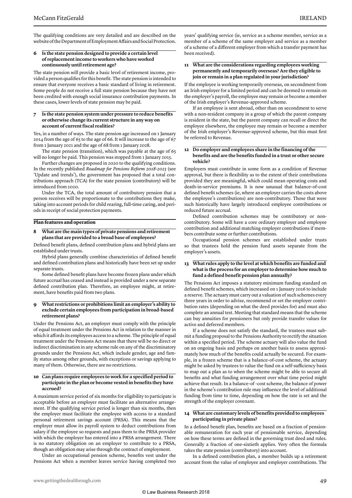The qualifying conditions are very detailed and are described on the website of the Department of Employment Affairs and Social Protection.

#### **6 Is the state pension designed to provide a certain level of replacement income to workers who have worked continuously until retirement age?**

The state pension will provide a basic level of retirement income, provided a person qualifies for this benefit. The state pension is intended to ensure that everyone receives a basic standard of living in retirement. Some people do not receive a full state pension because they have not been credited with enough social insurance contribution payments. In these cases, lower levels of state pension may be paid.

#### **7 Is the state pension system under pressure to reduce benefits or otherwise change its current structure in any way on account of current fiscal realities?**

Yes, in a number of ways. The state pension age increased on 1 January 2014 from the age of 65 to the age of 66. It will increase to the age of 67 from 1 January 2021 and the age of 68 from 1 January 2028.

The state pension (transition), which was payable at the age of 65 will no longer be paid. This pension was stopped from 1 January 2015.

Further changes are proposed in 2020 to the qualifying conditions. In the recently published *Roadmap for Pensions Reform 2018-2023* (see 'Update and trends'), the government has proposed that a total contributions approach (TCA) for the state pension (contributory) will be introduced from 2020.

Under the TCA, the total amount of contributory pension that a person receives will be proportionate to the contributions they make, taking into account periods for child rearing, full-time caring, and periods in receipt of social protection payments.

#### **Plan features and operation**

#### **8 What are the main types of private pensions and retirement plans that are provided to a broad base of employees?**

Defined benefit plans, defined contribution plans and hybrid plans are established under trusts.

Hybrid plans generally combine characteristics of defined benefit and defined contribution plans and historically have been set up under separate trusts.

Some defined benefit plans have become frozen plans under which future accrual has ceased and instead is provided under a new separate defined contribution plan. Therefore, an employee might, at retirement, have benefits paid from two plans.

#### **9 What restrictions or prohibitions limit an employer's ability to exclude certain employees from participation in broad-based retirement plans?**

Under the Pensions Act, an employer must comply with the principle of equal treatment under the Pensions Act in relation to the manner in which it affords its employees access to a scheme. The principle of equal treatment under the Pensions Act means that there will be no direct or indirect discrimination in any scheme rule on any of the discriminatory grounds under the Pensions Act, which include gender, age and family status among other grounds, with exceptions or savings applying to many of them. Otherwise, there are no restrictions.

#### **10 Can plans require employees to work for a specified period to participate in the plan or become vested in benefits they have accrued?**

A maximum service period of six months for eligibility to participate is acceptable before an employer must facilitate an alternative arrangement. If the qualifying service period is longer than six months, then the employer must facilitate the employee with access to a standard personal retirement savings account (PRSA). This means that the employer must allow its payroll system to deduct contributions from salary if the employee so requests and pass them to the PRSA provider with which the employer has entered into a PRSA arrangement. There is no statutory obligation on an employer to contribute to a PRSA, though an obligation may arise through the contract of employment.

Under an occupational pension scheme, benefits vest under the Pensions Act when a member leaves service having completed two years' qualifying service (ie, service as a scheme member, service as a member of a scheme of the same employer and service as a member of a scheme of a different employer from which a transfer payment has been received).

#### **11 What are the considerations regarding employees working permanently and temporarily overseas? Are they eligible to join or remain in a plan regulated in your jurisdiction?**

If the employee is working temporarily overseas, on secondment from an Irish employer for a limited period and can be deemed to remain on the employer's payroll, the employee may remain or become a member of the Irish employer's Revenue-approved scheme.

If an employee is sent abroad, other than on secondment to serve with a non-resident company in a group of which the parent company is resident in the state, but the parent company can recall or direct the employee elsewhere, the employee may remain or become a member of the Irish employer's Revenue-approved scheme, but this must first be referred to Revenue.

#### **12 Do employer and employees share in the financing of the benefits and are the benefits funded in a trust or other secure vehicle?**

Employers must contribute in some form as a condition of Revenue approval, but there is flexibility as to the extent of their contributions provided they are meaningful, which could mean operating costs and death-in-service premiums. It is now unusual that balance-of-cost defined benefit schemes (ie, where an employer carries the costs above the employee's contributions) are non-contributory. Those that were such historically have largely introduced employee contributions or reduced future accrual.

Defined contribution schemes may be contributory or noncontributory. Some will have a core ordinary employer and employee contribution and additional matching employer contributions if members contribute some or further contributions.

Occupational pension schemes are established under trusts so that trustees hold the pension fund assets separate from the employer's assets.

#### **13 What rules apply to the level at which benefits are funded and what is the process for an employer to determine how much to fund a defined benefit pension plan annually?**

The Pensions Act imposes a statutory minimum funding standard on defined benefit schemes, which increased on 1 January 2016 to include a reserve. The actuary must carry out a valuation of such schemes every three years in order to advise, recommend or set the employer contribution rates (depending on what the deed provides for) and must also complete an annual test. Meeting that standard means that the scheme can buy annuities for pensioners but only provide transfer values for active and deferred members.

If a scheme does not satisfy the standard, the trustees must submit a funding proposal to the Pensions Authority to rectify the situation within a specified period. The scheme actuary will also value the fund on an ongoing basis and perhaps on another basis to assess approximately how much of the benefits could actually be secured. For example, in a frozen scheme that is a balance-of-cost scheme, the actuary might be asked by trustees to value the fund on a self-sufficiency basis to map out a plan as to when the scheme might be able to secure all benefits and what funding arrangement over what time period might achieve that result. In a balance-of -cost scheme, the balance of power in the scheme's contribution rule may influence the level of additional funding from time to time, depending on how the rate is set and the strength of the employer covenant.

#### **14 What are customary levels of benefits provided to employees participating in private plans?**

In a defined benefit plan, benefits are based on a fraction of pensionable remuneration for each year of pensionable service, depending on how these terms are defined in the governing trust deed and rules. Generally a fraction of one-sixtieth applies. Very often the formula takes the state pension (contributory) into account.

In a defined contribution plan, a member builds up a retirement account from the value of employee and employer contributions. The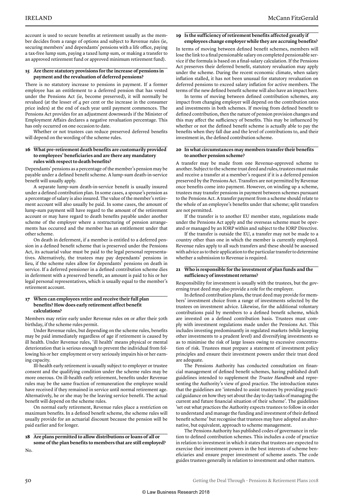account is used to secure benefits at retirement usually as the member decides from a range of options and subject to Revenue rules (ie, securing members' and dependants' pensions with a life office, paying a tax-free lump sum, paying a taxed lump sum, or making a transfer to an approved retirement fund or approved minimum retirement fund).

#### **15 Are there statutory provisions for the increase of pensions in payment and the revaluation of deferred pensions?**

There is no statutory increase to pensions in payment. If a former employee has an entitlement to a deferred pension that has vested under the Pensions Act (ie, become preserved), it will normally be revalued (at the lesser of 4 per cent or the increase in the consumer price index) at the end of each year until payment commences. The Pensions Act provides for an adjustment downwards if the Minister of Employment Affairs declares a negative revaluation percentage. This has only occurred on one occasion to date.

Whether or not trustees can reduce preserved deferred benefits will depend on the wording of the scheme rules.

#### **16 What pre-retirement death benefits are customarily provided to employees' beneficiaries and are there any mandatory rules with respect to death benefits?**

Dependants' pensions as a percentage of the member's pension may be payable under a defined benefit scheme. A lump-sum death-in-service benefit will usually apply.

A separate lump-sum death-in-service benefit is usually insured under a defined contribution plan. In some cases, a spouse's pension as a percentage of salary is also insured. The value of the member's retirement account will also usually be paid. In some cases, the amount of lump-sum payment will have regard to the amount of the retirement account or may have regard to death benefits payable under another scheme of the employer where a restructuring of pension arrangements has occurred and the member has an entitlement under that other scheme.

On death in deferment, if a member is entitled to a deferred pension in a defined benefit scheme that is preserved under the Pensions Act, its actuarial value must be paid to the legal personal representatives. Alternatively, the trustees may pay dependants' pensions in lieu, if the scheme rules allow for dependants' pensions on death in service. If a deferred pensioner in a defined contribution scheme dies in deferment with a preserved benefit, an amount is paid to his or her legal personal representatives, which is usually equal to the member's retirement account.

#### **17 When can employees retire and receive their full plan benefits? How does early retirement affect benefit calculations?**

Members may retire early under Revenue rules on or after their 50th birthday, if the scheme rules permit.

Under Revenue rules, but depending on the scheme rules, benefits may be paid immediately regardless of age if retirement is caused by ill health. Under Revenue rules, 'ill health' means physical or mental deterioration that is serious enough to prevent the individual from following his or her employment or very seriously impairs his or her earning capacity.

Ill-health early retirement is usually subject to employer or trustee consent and the qualifying condition under the scheme rules may be more onerous. On ill-health early retirement, benefits under Revenue rules may be the same fraction of remuneration the employee would have received if they remained in service until normal retirement age. Alternatively, he or she may be the leaving service benefit. The actual benefit will depend on the scheme rules.

On normal early retirement, Revenue rules place a restriction on maximum benefits. In a defined benefit scheme, the scheme rules will usually provide for an actuarial discount because the pension will be paid earlier and for longer.

#### **18 Are plans permitted to allow distributions or loans of all or some of the plan benefits to members that are still employed?**

No.

#### **19 Is the sufficiency of retirement benefits affected greatly if employees change employer while they are accruing benefits?**

In terms of moving between defined benefit schemes, members will lose the link to a final pensionable salary on completed pensionable service if the formula is based on a final-salary calculation. If the Pensions Act preserves their deferred benefit, statutory revaluation may apply under the scheme. During the recent economic climate, when salary inflation stalled, it has not been unusual for statutory revaluation on deferred pensions to exceed salary inflation for active members. The terms of the new defined benefit scheme will also have an impact here.

In terms of moving between defined contribution schemes, any impact from changing employer will depend on the contribution rates and investments in both schemes. If moving from defined benefit to defined contribution, then the nature of pension provision changes and this may affect the sufficiency of benefits. This may be influenced by whether or not the defined benefit scheme is actually able to pay the benefits when they fall due and the level of contributions to, and their investment in, the defined contribution scheme.

#### **20 In what circumstances may members transfer their benefits to another pension scheme?**

A transfer may be made from one Revenue-approved scheme to another. Subject to the scheme trust deed and rules, trustees must make and receive a transfer at a member's request if it is a deferred pension preserved by the Pensions Act. Transfers are not permitted by Revenue once benefits come into payment. However, on winding up a scheme, trustees may transfer pensions in payment between schemes pursuant to the Pensions Act. A transfer payment from a scheme should relate to the whole of an employee's benefits under that scheme; split transfers are not permitted.

If the transfer is to another EU member state, regulations made under the Pensions Act apply and the overseas scheme must be operated or managed by an IORP within and subject to the IORP Directive.

If the transfer is outside the EU, a transfer may not be made to a country other than one in which the member is currently employed. Revenue rules apply to all such transfers and these should be assessed with advice as to their application to the particular transfer to determine whether a submission to Revenue is required.

#### **21 Who is responsible for the investment of plan funds and the sufficiency of investment returns?**

Responsibility for investment is usually with the trustees, but the governing trust deed may also provide a role for the employer.

In defined contribution plans, the trust deed may provide for members' investment choice from a range of investments selected by the trustees on investment advice. Likewise, for the additional voluntary contributions paid by members to a defined benefit scheme, which are invested on a defined contribution basis. Trustees must comply with investment regulations made under the Pensions Act. This includes investing predominantly in regulated markets (while keeping other investments to a prudent level) and diversifying investments so as to minimise the risk of large losses owing to excessive concentration of risk. Trustees must prepare a statement of investment policy principles and ensure their investment powers under their trust deed are adequate.

The Pensions Authority has conducted consultation on financial management of defined benefit schemes, having published draft guidelines intended to supplement the *Trustee Handbook* and representing the Authority's view of good practice. The introduction states that the guidelines are 'intended to assist trustees by providing practical guidance on how they set about the day to day tasks of managing the current and future financial situation of their scheme'. The guidelines 'set out what practices the Authority expects trustees to follow in order to understand and manage the funding and investment of their defined benefit scheme' but recognise that trustees may have adopted an alternative, but equivalent, approach to scheme management.

The Pensions Authority has published codes of governance in relation to defined contribution schemes. This includes a code of practice in relation to investment in which it states that trustees are expected to exercise their investment powers in the best interests of scheme beneficiaries and ensure proper investment of scheme assets. The code guides trustees generally in relation to investment and other matters.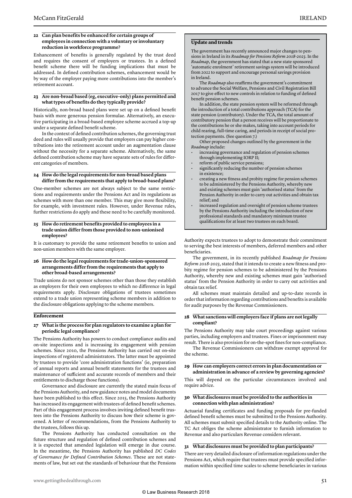#### **22 Can plan benefits be enhanced for certain groups of employees in connection with a voluntary or involuntary reduction in workforce programme?**

Enhancement of benefits is generally regulated by the trust deed and requires the consent of employers or trustees. In a defined benefit scheme there will be funding implications that must be addressed. In defined contribution schemes, enhancement would be by way of the employer paying more contributions into the member's retirement account.

#### **23 Are non-broad based (eg, executive-only) plans permitted and what types of benefits do they typically provide?**

Historically, non-broad based plans were set up on a defined benefit basis with more generous pension formulae. Alternatively, an executive participating in a broad-based employee scheme accrued a top-up under a separate defined benefit scheme.

In the context of defined contribution schemes, the governing trust deed and rules will usually provide that employers can pay higher contributions into the retirement account under an augmentation clause without the necessity for a separate scheme. Alternatively, the same defined contribution scheme may have separate sets of rules for different categories of members.

#### **24 How do the legal requirements for non-broad based plans differ from the requirements that apply to broad-based plans?**

One-member schemes are not always subject to the same restrictions and requirements under the Pensions Act and its regulations as schemes with more than one member. This may give more flexibility, for example, with investment rules. However, under Revenue rules, further restrictions do apply and these need to be carefully monitored.

#### **25 How do retirement benefits provided to employees in a trade union differ from those provided to non-unionised employees?**

It is customary to provide the same retirement benefits to union and non-union members with the same employer.

#### **26 How do the legal requirements for trade-union-sponsored arrangements differ from the requirements that apply to other broad-based arrangements?**

Trade unions do not sponsor schemes other than those they establish as employers for their own employees to which no difference in legal requirements apply. Disclosure obligations of trustees sometimes extend to a trade union representing scheme members in addition to the disclosure obligations applying to the scheme members.

#### **Enforcement**

#### **27 What is the process for plan regulators to examine a plan for periodic legal compliance?**

The Pensions Authority has powers to conduct compliance audits and on-site inspections and is increasing its engagement with pension schemes. Since 2010, the Pensions Authority has carried out on-site inspections of registered administrators. The latter must be appointed by trustees to provide 'core administration functions' (ie, preparation of annual reports and annual benefit statements for the trustees and maintenance of sufficient and accurate records of members and their entitlements to discharge those functions).

Governance and disclosure are currently the stated main focus of the Pensions Authority, and new guidance notes and model documents have been published to this effect. Since 2015, the Pensions Authority has increased its engagement with trustees of defined benefit schemes. Part of this engagement process involves inviting defined benefit trustees into the Pensions Authority to discuss how their scheme is governed. A letter of recommendations, from the Pensions Authority to the trustees, follows this up.

The Pensions Authority has conducted consultation on the future structure and regulation of defined contribution schemes and it is expected that amended legislation will emerge in due course. In the meantime, the Pensions Authority has published *DC Codes of Governance for Defined Contribution Schemes*. These are not statements of law, but set out the standards of behaviour that the Pensions

#### **Update and trends**

The government has recently announced major changes to pensions in Ireland in its *Roadmap for Pensions Reform 2018-2023*. In the *Roadmap*, the government has stated that a new state sponsored 'automatic enrolment' retirement savings system will be introduced from 2022 to support and encourage personal savings provision in Ireland.

The *Roadmap* also reaffirms the government's commitment to advance the Social Welfare, Pensions and Civil Registration Bill 2017 to give effect to new controls in relation to funding of defined benefit pension schemes.

In addition, the state pension system will be reformed through the introduction of a total contributions approach (TCA) for the state pension (contributory). Under the TCA, the total amount of contributory pension that a person receives will be proportionate to the contributions he or she makes, taking into account periods for child rearing, full-time caring, and periods in receipt of social protection payments. (See question 7.)

Other proposed changes outlined by the government in the *Roadmap* include:

- increasing governance and regulation of pension schemes through implementing IORP II;
- reform of public service pensions;
- significantly reducing the number of pension schemes in existence;
- creating a new fitness and probity regime for pension schemes to be administered by the Pensions Authority, whereby new and existing schemes must gain 'authorised status' from the Pension Authority in order to carry out activities and obtain tax relief; and
- increased regulation and oversight of pension scheme trustees by the Pensions Authority including the introduction of new professional standards and mandatory minimum trustee qualifications for at least two trustees on each board.

Authority expects trustees to adopt to demonstrate their commitment to serving the best interests of members, deferred members and other beneficiaries.

The government, in its recently published *Roadmap for Pensions Reform 2018-2023*, stated that it intends to create a new fitness and probity regime for pension schemes to be administered by the Pensions Authority, whereby new and existing schemes must gain 'authorised status' from the Pension Authority in order to carry out activities and obtain tax relief.

All schemes must maintain detailed and up-to-date records in order that information regarding contributions and benefits is available for audit purposes by the Revenue Commissioners.

#### **28 What sanctions will employers face if plans are not legally compliant?**

The Pensions Authority may take court proceedings against various parties, including employers and trustees. Fines or imprisonment may result. There is also provision for on-the-spot fines for non-compliance.

The Revenue Commissioners can withdraw exempt approval for the scheme.

#### **29 How can employers correct errors in plan documentation or administration in advance of a review by governing agencies?**

This will depend on the particular circumstances involved and require advice.

#### **30 What disclosures must be provided to the authorities in connection with plan administration?**

Actuarial funding certificates and funding proposals for pre-funded defined benefit schemes must be submitted to the Pensions Authority. All schemes must submit specified details to the Authority online. The TC Act obliges the scheme administrator to furnish information to Revenue and also particulars Revenue considers relevant.

#### **31 What disclosures must be provided to plan participants?**

There are very detailed disclosure of information regulations under the Pensions Act, which require that trustees must provide specified information within specified time scales to scheme beneficiaries in various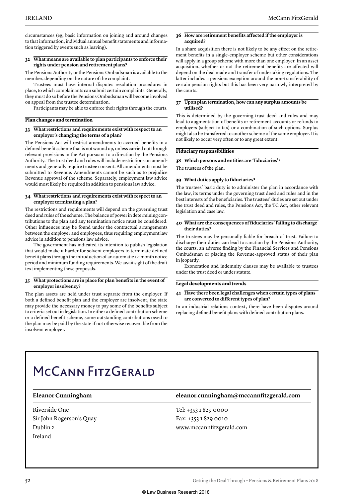circumstances (eg, basic information on joining and around changes to that information, individual annual benefit statements and information triggered by events such as leaving).

#### **32 What means are available to plan participants to enforce their rights under pension and retirement plans?**

The Pensions Authority or the Pensions Ombudsman is available to the member, depending on the nature of the complaint.

Trustees must have internal disputes resolution procedures in place, to which complainants can submit certain complaints. Generally, they must do so before the Pensions Ombudsman will become involved on appeal from the trustee determination.

Participants may be able to enforce their rights through the courts.

#### **Plan changes and termination**

#### **33 What restrictions and requirements exist with respect to an employer's changing the terms of a plan?**

The Pensions Act will restrict amendments to accrued benefits in a defined benefit scheme that is not wound up, unless carried out through relevant provisions in the Act pursuant to a direction by the Pensions Authority. The trust deed and rules will include restrictions on amendments and generally require trustee consent. All amendments must be submitted to Revenue. Amendments cannot be such as to prejudice Revenue approval of the scheme. Separately, employment law advice would most likely be required in addition to pensions law advice.

#### **34 What restrictions and requirements exist with respect to an employer terminating a plan?**

The restrictions and requirements will depend on the governing trust deed and rules of the scheme. The balance of power in determining contributions to the plan and any termination notice must be considered. Other influences may be found under the contractual arrangements between the employer and employees, thus requiring employment law advice in addition to pensions law advice.

The government has indicated its intention to publish legislation that would make it harder for solvent employers to terminate defined benefit plans through the introduction of an automatic 12-month notice period and minimum funding requirements. We await sight of the draft text implementing these proposals.

#### **35 What protections are in place for plan benefits in the event of employer insolvency?**

The plan assets are held under trust separate from the employer. If both a defined benefit plan and the employer are insolvent, the state may provide the necessary money to pay some of the benefits subject to criteria set out in legislation. In either a defined contribution scheme or a defined benefit scheme, some outstanding contributions owed to the plan may be paid by the state if not otherwise recoverable from the insolvent employer.

#### **36 How are retirement benefits affected if the employer is acquired?**

In a share acquisition there is not likely to be any effect on the retirement benefits in a single-employer scheme but other considerations will apply in a group scheme with more than one employer. In an asset acquisition, whether or not the retirement benefits are affected will depend on the deal made and transfer of undertaking regulations. The latter includes a pensions exception around the non-transferability of certain pension rights but this has been very narrowly interpreted by the courts.

#### **37 Upon plan termination, how can any surplus amounts be utilised?**

This is determined by the governing trust deed and rules and may lead to augmentation of benefits or retirement accounts or refunds to employers (subject to tax) or a combination of such options. Surplus might also be transferred to another scheme of the same employer. It is not likely to occur very often or to any great extent.

#### **Fiduciary responsibilities**

#### **38 Which persons and entities are 'fiduciaries'?**

The trustees of the plan.

#### **39 What duties apply to fiduciaries?**

The trustees' basic duty is to administer the plan in accordance with the law, its terms under the governing trust deed and rules and in the best interests of the beneficiaries. The trustees' duties are set out under the trust deed and rules, the Pensions Act, the TC Act, other relevant legislation and case law.

#### **40 What are the consequences of fiduciaries' failing to discharge their duties?**

The trustees may be personally liable for breach of trust. Failure to discharge their duties can lead to sanction by the Pensions Authority, the courts, an adverse finding by the Financial Services and Pensions Ombudsman or placing the Revenue-approved status of their plan in jeopardy.

Exoneration and indemnity clauses may be available to trustees under the trust deed or under statute.

#### **Legal developments and trends**

#### **41 Have there been legal challenges when certain types of plans are converted to different types of plan?**

In an industrial relations context, there have been disputes around replacing defined benefit plans with defined contribution plans.

### MCCANN FITZGERALD

Riverside One Sir John Rogerson's Quay Dublin 2 Ireland

#### **Eleanor Cunningham eleanor.cunningham@mccannfitzgerald.com**

Tel: +353 1 829 0000 Fax: +353 1 829 0010 www.mccannfitzgerald.com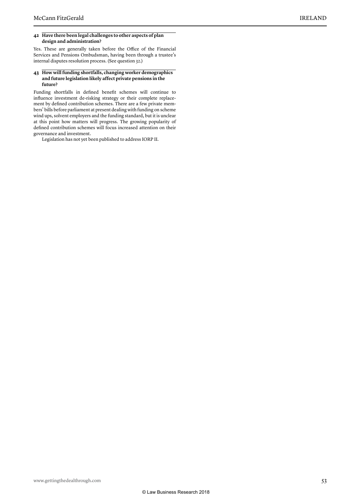#### **42 Have there been legal challenges to other aspects of plan design and administration?**

Yes. These are generally taken before the Office of the Financial Services and Pensions Ombudsman, having been through a trustee's internal disputes resolution process. (See question 32.)

#### **43 How will funding shortfalls, changing worker demographics and future legislation likely affect private pensions in the future?**

Funding shortfalls in defined benefit schemes will continue to influence investment de-risking strategy or their complete replacement by defined contribution schemes. There are a few private members' bills before parliament at present dealing with funding on scheme wind ups, solvent employers and the funding standard, but it is unclear at this point how matters will progress. The growing popularity of defined contribution schemes will focus increased attention on their governance and investment.

Legislation has not yet been published to address IORP II.